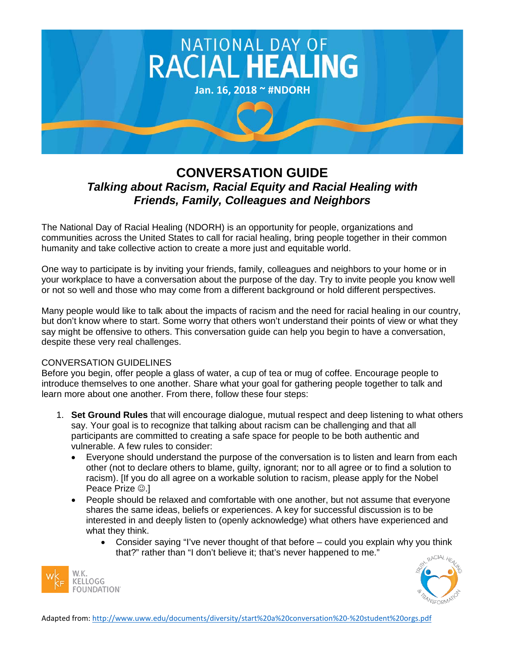

## **CONVERSATION GUIDE** *Talking about Racism, Racial Equity and Racial Healing with Friends, Family, Colleagues and Neighbors*

The National Day of Racial Healing (NDORH) is an opportunity for people, organizations and communities across the United States to call for racial healing, bring people together in their common humanity and take collective action to create a more just and equitable world.

One way to participate is by inviting your friends, family, colleagues and neighbors to your home or in your workplace to have a conversation about the purpose of the day. Try to invite people you know well or not so well and those who may come from a different background or hold different perspectives.

Many people would like to talk about the impacts of racism and the need for racial healing in our country, but don't know where to start. Some worry that others won't understand their points of view or what they say might be offensive to others. This conversation guide can help you begin to have a conversation, despite these very real challenges.

## CONVERSATION GUIDELINES

Before you begin, offer people a glass of water, a cup of tea or mug of coffee. Encourage people to introduce themselves to one another. Share what your goal for gathering people together to talk and learn more about one another. From there, follow these four steps:

- 1. **Set Ground Rules** that will encourage dialogue, mutual respect and deep listening to what others say. Your goal is to recognize that talking about racism can be challenging and that all participants are committed to creating a safe space for people to be both authentic and vulnerable. A few rules to consider:
	- Everyone should understand the purpose of the conversation is to listen and learn from each other (not to declare others to blame, guilty, ignorant; nor to all agree or to find a solution to racism). [If you do all agree on a workable solution to racism, please apply for the Nobel Peace Prize  $\odot$ .]
	- People should be relaxed and comfortable with one another, but not assume that everyone shares the same ideas, beliefs or experiences. A key for successful discussion is to be interested in and deeply listen to (openly acknowledge) what others have experienced and what they think.
		- Consider saying "I've never thought of that before could you explain why you think that?" rather than "I don't believe it; that's never happened to me."



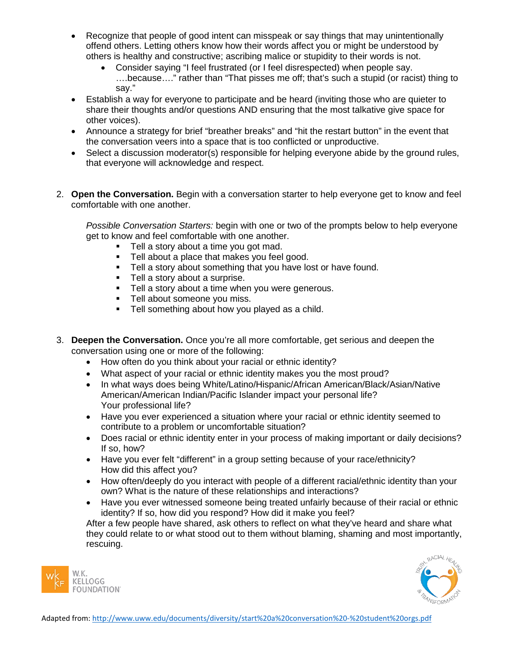- Recognize that people of good intent can misspeak or say things that may unintentionally offend others. Letting others know how their words affect you or might be understood by others is healthy and constructive; ascribing malice or stupidity to their words is not.
	- Consider saying "I feel frustrated (or I feel disrespected) when people say. ….because…." rather than "That pisses me off; that's such a stupid (or racist) thing to say."
- Establish a way for everyone to participate and be heard (inviting those who are quieter to share their thoughts and/or questions AND ensuring that the most talkative give space for other voices).
- Announce a strategy for brief "breather breaks" and "hit the restart button" in the event that the conversation veers into a space that is too conflicted or unproductive.
- Select a discussion moderator(s) responsible for helping everyone abide by the ground rules, that everyone will acknowledge and respect.
- 2. **Open the Conversation.** Begin with a conversation starter to help everyone get to know and feel comfortable with one another.

*Possible Conversation Starters:* begin with one or two of the prompts below to help everyone get to know and feel comfortable with one another.

- **Tell a story about a time you got mad.**
- **Tell about a place that makes you feel good.**
- **Tell a story about something that you have lost or have found.**
- **Tell a story about a surprise.**
- Tell a story about a time when you were generous.
- **Tell about someone you miss.**
- **Tell something about how you played as a child.**
- 3. **Deepen the Conversation.** Once you're all more comfortable, get serious and deepen the conversation using one or more of the following:
	- How often do you think about your racial or ethnic identity?
	- What aspect of your racial or ethnic identity makes you the most proud?
	- In what ways does being White/Latino/Hispanic/African American/Black/Asian/Native American/American Indian/Pacific Islander impact your personal life? Your professional life?
	- Have you ever experienced a situation where your racial or ethnic identity seemed to contribute to a problem or uncomfortable situation?
	- Does racial or ethnic identity enter in your process of making important or daily decisions? If so, how?
	- Have you ever felt "different" in a group setting because of your race/ethnicity? How did this affect you?
	- How often/deeply do you interact with people of a different racial/ethnic identity than your own? What is the nature of these relationships and interactions?
	- Have you ever witnessed someone being treated unfairly because of their racial or ethnic identity? If so, how did you respond? How did it make you feel?

After a few people have shared, ask others to reflect on what they've heard and share what they could relate to or what stood out to them without blaming, shaming and most importantly, rescuing.